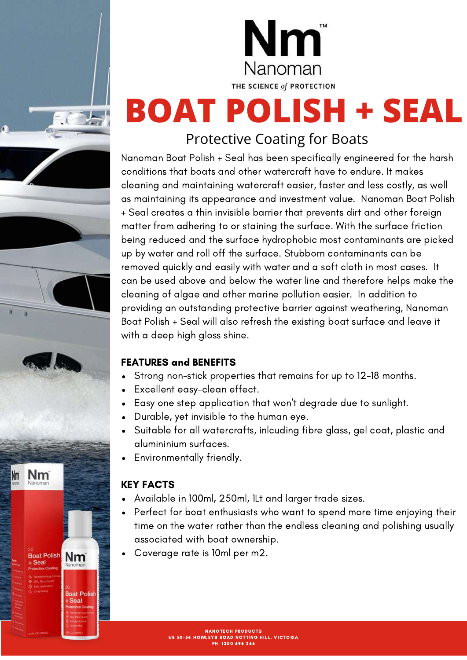



## **BOAT POLISH + SEAL** Protective Coating for Boats

#### Nanoman Boat Polish + Seal has been specifically engineered for the harsh conditions that boats and other watercraft have to endure. It makes cleaning and maintaining watercraft easier, faster and less costly, as well as maintaining its appearance and investment value. Nanoman Boat Polish + Seal creates a thin invisible barrier that prevents dirt and other foreign matter from adhering to or staining the surface. With the surface friction being reduced and the surface hydrophobic most contaminants are picked up by water and roll off the surface. Stubborn contaminants can be removed quickly and easily with water and a soft cloth in most cases. It can be used above and below the water line and therefore helps make the cleaning of algae and other marine pollution easier. In addition to providing an outstanding protective barrier against weathering, Nanoman Boat Polish + Seal will also refresh the existing boat surface and leave it with a deep high gloss shine.

#### FEATURES and BENEFITS

- Strong non-stick properties that remains for up to 12-18 months.
- Excellent easy-clean effect.
- Easy one step application that won't degrade due to sunlight.
- Durable, yet invisible to the human eye.  $\bullet$
- Suitable for all watercrafts, inlcuding fibre glass, gel coat, plastic and alumininium surfaces.
- Environmentally friendly.

### KEY FACTS

- Available in 100ml, 250ml, 1Lt and larger trade sizes.
- Perfect for boat enthusiasts who want to spend more time enjoying their time on the water rather than the endless cleaning and polishing usually associated with boat ownership.
- Coverage rate is 10ml per m2.